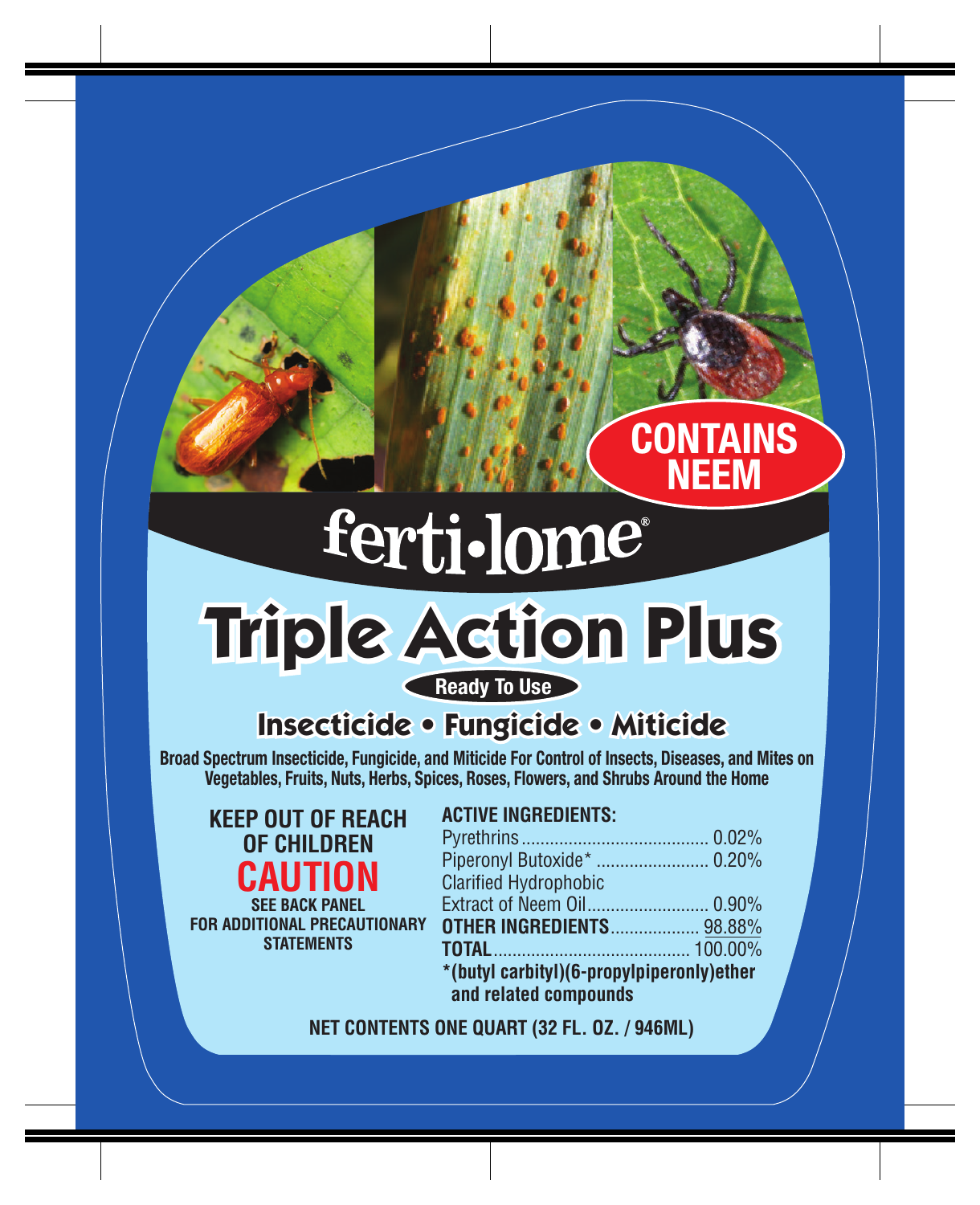# ferti-lome®

## **Triple Action Plus** Ready To Use

## **Insecticide • Fungicide • Miticide**

Broad Spectrum Insecticide, Fungicide, and Miticide For Control of Insects, Diseases, and Mites on Vegetables, Fruits, Nuts, Herbs, Spices, Roses, Flowers, and Shrubs Around the Home

| KEEP OUT OF REACH |
|-------------------|
| OF CHILDREN       |
| <b>CAUTION</b>    |
| 822 BAAV BANI-I   |

**SEE BACK PANEL FOR ADDITIONAL PRECAUTIONARY STATEMENTS**

### **ACTIVE INGREDIENTS:**

| Piperonyl Butoxide*  0.20%                |  |  |
|-------------------------------------------|--|--|
| <b>Clarified Hydrophobic</b>              |  |  |
|                                           |  |  |
| <b>OTHER INGREDIENTS 98.88%</b>           |  |  |
|                                           |  |  |
| *(butyl carbityl)(6-propylpiperonly)ether |  |  |
| and related compounds                     |  |  |

**CONTAINS** NEEM

#### **NET CONTENTS ONE QUART (32 FL. OZ. / 946ML)**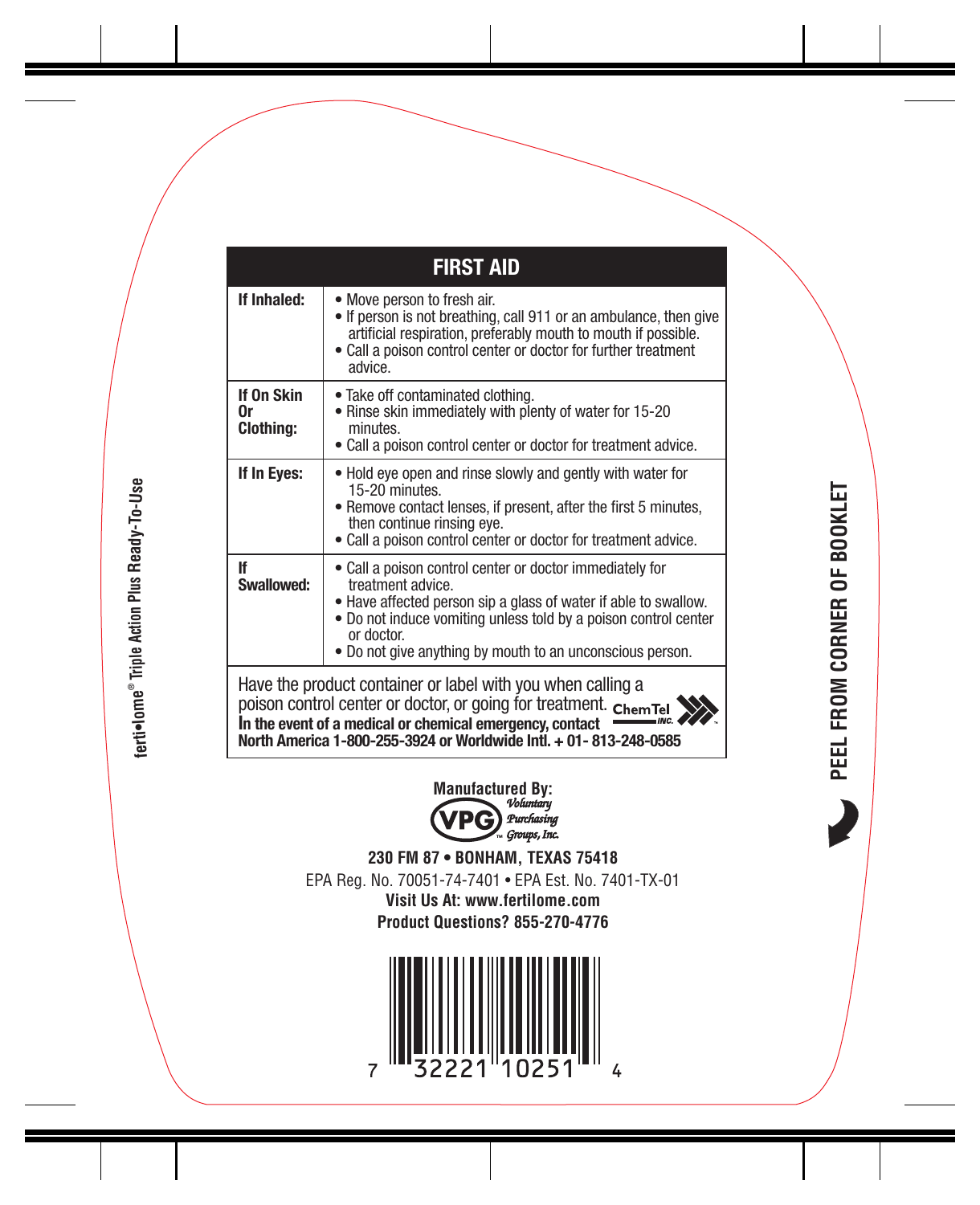| <b>FIRST AID</b>                     |                                                                                                                                                                                                                                                                                                |
|--------------------------------------|------------------------------------------------------------------------------------------------------------------------------------------------------------------------------------------------------------------------------------------------------------------------------------------------|
| If Inhaled:                          | • Move person to fresh air.<br>• If person is not breathing, call 911 or an ambulance, then give<br>artificial respiration, preferably mouth to mouth if possible.<br>• Call a poison control center or doctor for further treatment<br>advice                                                 |
| If On Skin<br>0r<br><b>Clothing:</b> | . Take off contaminated clothing.<br>. Rinse skin immediately with plenty of water for 15-20<br>minutes.<br>• Call a poison control center or doctor for treatment advice.                                                                                                                     |
| If In Eyes:                          | . Hold eye open and rinse slowly and gently with water for<br>15-20 minutes.<br>. Remove contact lenses, if present, after the first 5 minutes,<br>then continue rinsing eye.<br>. Call a poison control center or doctor for treatment advice.                                                |
| lf<br>Swallowed:                     | • Call a poison control center or doctor immediately for<br>treatment advice.<br>. Have affected person sip a glass of water if able to swallow.<br>. Do not induce vomiting unless told by a poison control center<br>or doctor.<br>. Do not give anything by mouth to an unconscious person. |
|                                      | Have the product container or label with you when calling a<br>poison control center or doctor, or going for treatment. ChemTel<br>In the event of a medical or chemical emergency, contact<br>North America 1-800-255-3924 or Worldwide Intl. + 01-813-248-0585                               |

terti•lome® Triple Action Plus Ready-To-Use

ferti•lome® Triple Action Plus Ready-To-Use



**230 FM 87 • BONHAM, TEXAS 75418** EPA Reg. No. 70051-74-7401 • EPA Est. No. 7401-TX-01 **Visit Us At: www.fertilome.com Product Questions? 855-270-4776**



 $\overline{\phantom{a}}$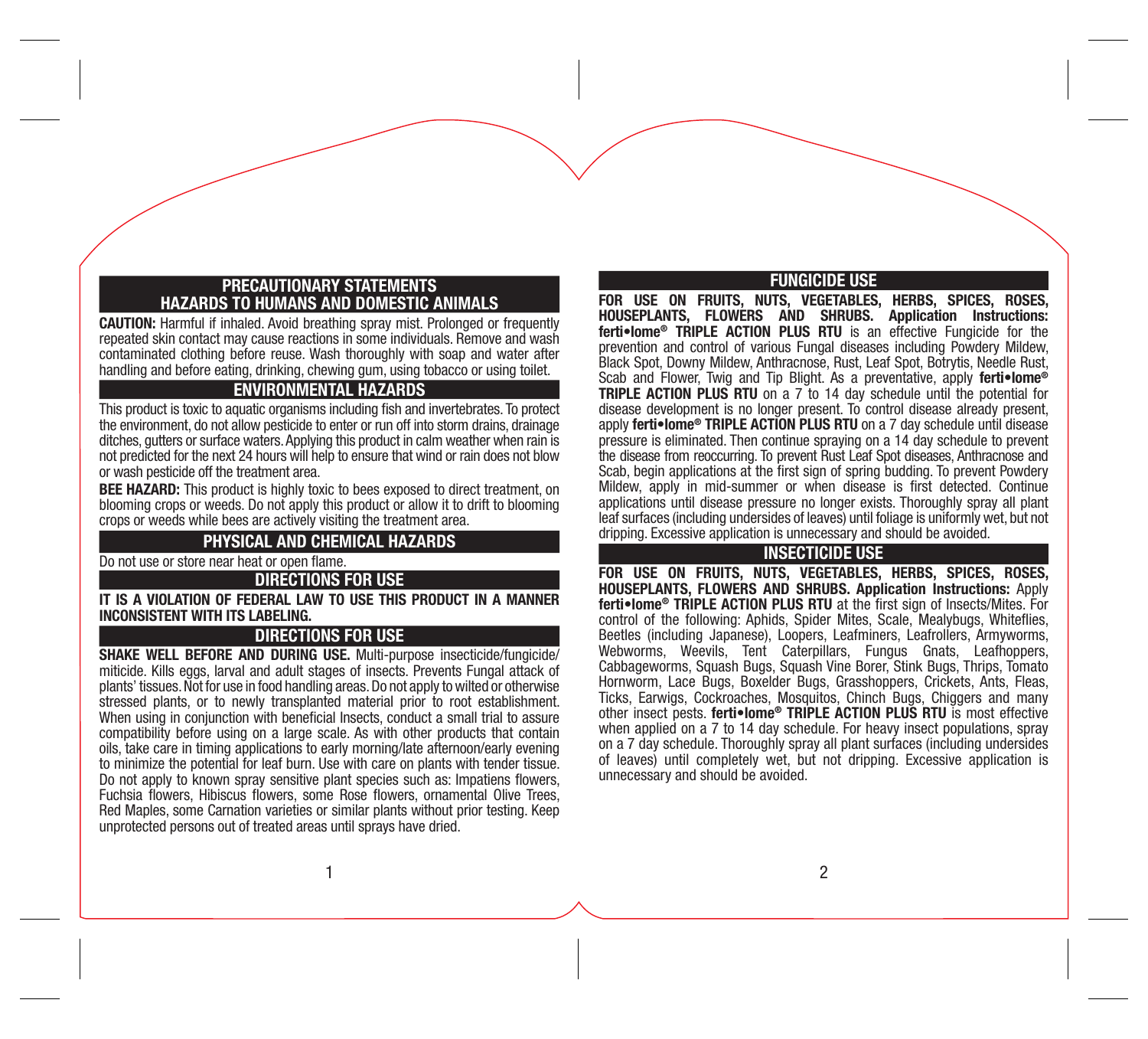#### PRECAUTIONARY STATEMENTS HAZARDS TO HUMANS AND DOMESTIC ANIMALS

CAUTION: Harmful if inhaled. Avoid breathing spray mist. Prolonged or frequently repeated skin contact may cause reactions in some individuals. Remove and wash contaminated clothing before reuse. Wash thoroughly with soap and water after handling and before eating, drinking, chewing gum, using tobacco or using toilet.

#### ENVIRONMENTAL HAZARDS

This product is toxic to aquatic organisms including fish and invertebrates. To protect the environment, do not allow pesticide to enter or run off into storm drains, drainage ditches, gutters or surface waters. Applying this product in calm weather when rain is not predicted for the next 24 hours will help to ensure that wind or rain does not blow or wash pesticide off the treatment area.

**BEE HAZARD:** This product is highly toxic to bees exposed to direct treatment, on blooming crops or weeds. Do not apply this product or allow it to drift to blooming crops or weeds while bees are actively visiting the treatment area.

#### PHYSICAL AND CHEMICAL HAZARDS

Do not use or store near heat or open flame.

DIRECTIONS FOR USE

IT IS A VIOLATION OF FEDERAL LAW TO USE THIS PRODUCT IN A MANNER INCONSISTENT WITH ITS LABELING.

#### DIRECTIONS FOR USE

SHAKE WELL BEFORE AND DURING USE. Multi-purpose insecticide/fungicide/ miticide. Kills eggs, larval and adult stages of insects. Prevents Fungal attack of plants' tissues. Not for use in food handling areas. Do not apply to wilted or otherwise stressed plants, or to newly transplanted material prior to root establishment. When using in conjunction with beneficial Insects, conduct a small trial to assure compatibility before using on a large scale. As with other products that contain oils, take care in timing applications to early morning/late afternoon/early evening to minimize the potential for leaf burn. Use with care on plants with tender tissue. Do not apply to known spray sensitive plant species such as: Impatiens flowers, Fuchsia flowers, Hibiscus flowers, some Rose flowers, ornamental Olive Trees, Red Maples, some Carnation varieties or similar plants without prior testing. Keep unprotected persons out of treated areas until sprays have dried.

#### FUNGICIDE USE

FOR USE ON FRUITS, NUTS, VEGETABLES, HERBS, SPICES, ROSES, HOUSEPLANTS, FLOWERS AND SHRUBS. Application Instructions: ferti•lome® TRIPLE ACTION PLUS RTU is an effective Fungicide for the prevention and control of various Fungal diseases including Powdery Mildew, Black Spot, Downy Mildew, Anthracnose, Rust, Leaf Spot, Botrytis, Needle Rust, Scab and Flower, Twig and Tip Blight. As a preventative, apply ferti•lome<sup>®</sup> TRIPLE ACTION PLUS RTU on a 7 to 14 day schedule until the potential for disease development is no longer present. To control disease already present, apply ferti•lome® TRIPLE ACTION PLUS RTU on a 7 day schedule until disease pressure is eliminated. Then continue spraying on a 14 day schedule to prevent the disease from reoccurring. To prevent Rust Leaf Spot diseases, Anthracnose and Scab, begin applications at the first sign of spring budding. To prevent Powdery Mildew, apply in mid-summer or when disease is first detected. Continue applications until disease pressure no longer exists. Thoroughly spray all plant leaf surfaces (including undersides of leaves) until foliage is uniformly wet, but not dripping. Excessive application is unnecessary and should be avoided.

#### INSECTICIDE USE

FOR USE ON FRUITS, NUTS, VEGETABLES, HERBS, SPICES, ROSES, HOUSEPLANTS, FLOWERS AND SHRUBS. Application Instructions: Apply ferti•lome® TRIPLE ACTION PLUS RTU at the first sign of Insects/Mites. For control of the following: Aphids, Spider Mites, Scale, Mealybugs, Whiteflies, Beetles (including Japanese), Loopers, Leafminers, Leafrollers, Armyworms, Webworms, Weevils, Tent Caterpillars, Fungus Gnats, Leafhoppers, Cabbageworms, Squash Bugs, Squash Vine Borer, Stink Bugs, Thrips, Tomato Hornworm, Lace Bugs, Boxelder Bugs, Grasshoppers, Crickets, Ants, Fleas, Ticks, Earwigs, Cockroaches, Mosquitos, Chinch Bugs, Chiggers and many other insect pests. ferti•lome® TRIPLE ACTION PLUS RTU is most effective when applied on a 7 to 14 day schedule. For heavy insect populations, spray on a 7 day schedule. Thoroughly spray all plant surfaces (including undersides of leaves) until completely wet, but not dripping. Excessive application is unnecessary and should be avoided.